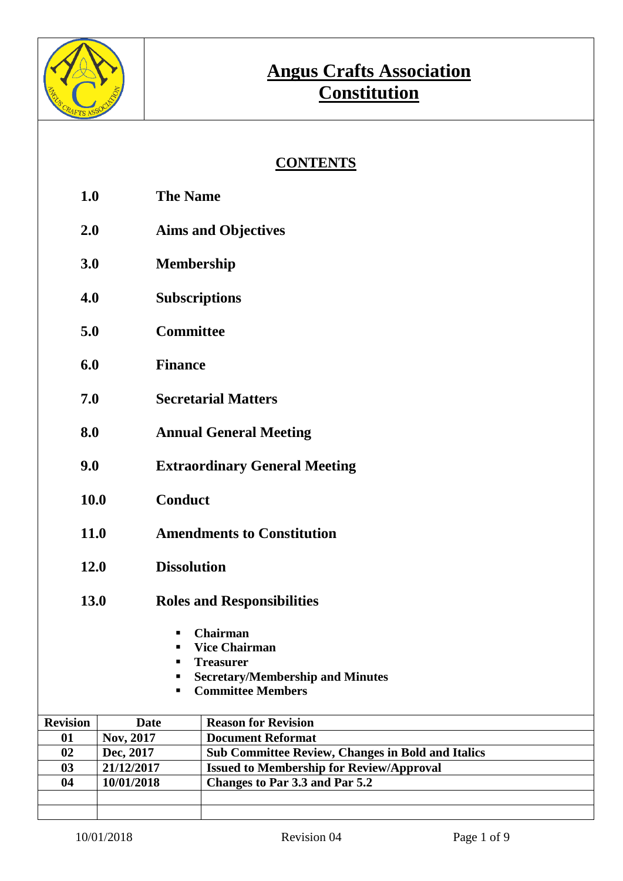

### **CONTENTS**

- **1.0 The Name**
- **2.0 Aims and Objectives**
- **3.0 Membership**
- **4.0 Subscriptions**
- **5.0 Committee**
- **6.0 Finance**
- **7.0 Secretarial Matters**
- **8.0 Annual General Meeting**
- **9.0 Extraordinary General Meeting**
- **10.0 Conduct**
- **11.0 Amendments to Constitution**
- **12.0 Dissolution**
- **13.0 Roles and Responsibilities**
	- **Chairman**
	- **Vice Chairman**
	- **Treasurer**
	- **Secretary/Membership and Minutes**
	- **Committee Members**

| <b>Revision</b> | Date       | <b>Reason for Revision</b>                               |
|-----------------|------------|----------------------------------------------------------|
| 01              | Nov, 2017  | <b>Document Reformat</b>                                 |
| 02              | Dec, 2017  | <b>Sub Committee Review, Changes in Bold and Italics</b> |
| 03              | 21/12/2017 | <b>Issued to Membership for Review/Approval</b>          |
| 04              | 10/01/2018 | Changes to Par 3.3 and Par 5.2                           |
|                 |            |                                                          |
|                 |            |                                                          |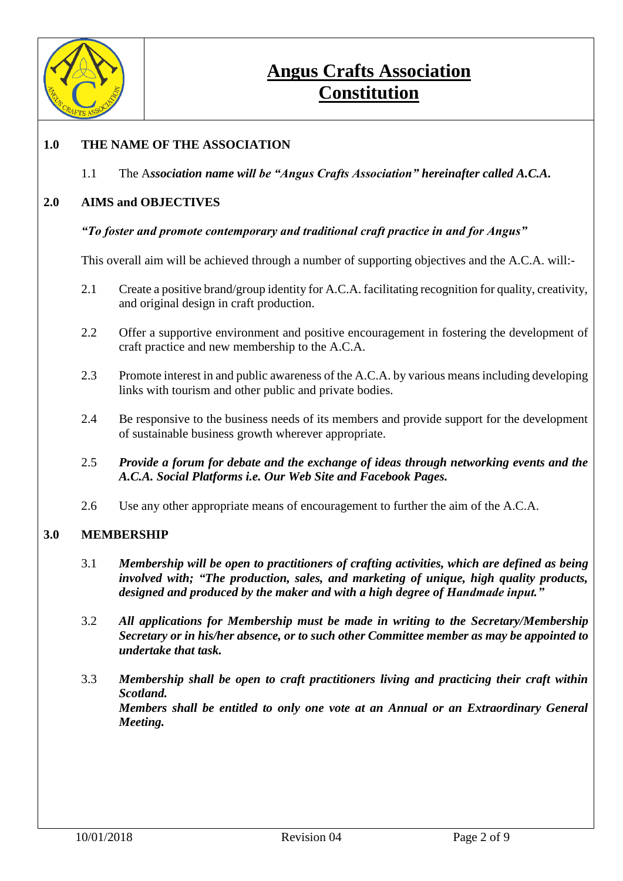

### **1.0 THE NAME OF THE ASSOCIATION**

1.1 The A*ssociation name will be "Angus Crafts Association" hereinafter called A.C.A.*

#### **2.0 AIMS and OBJECTIVES**

#### *"To foster and promote contemporary and traditional craft practice in and for Angus"*

This overall aim will be achieved through a number of supporting objectives and the A.C.A. will:-

- 2.1 Create a positive brand/group identity for A.C.A. facilitating recognition for quality, creativity, and original design in craft production.
- 2.2 Offer a supportive environment and positive encouragement in fostering the development of craft practice and new membership to the A.C.A.
- 2.3 Promote interest in and public awareness of the A.C.A. by various means including developing links with tourism and other public and private bodies.
- 2.4 Be responsive to the business needs of its members and provide support for the development of sustainable business growth wherever appropriate.
- 2.5 *Provide a forum for debate and the exchange of ideas through networking events and the A.C.A. Social Platforms i.e. Our Web Site and Facebook Pages.*
- 2.6 Use any other appropriate means of encouragement to further the aim of the A.C.A.

#### **3.0 MEMBERSHIP**

- 3.1 *Membership will be open to practitioners of crafting activities, which are defined as being involved with; "The production, sales, and marketing of unique, high quality products, designed and produced by the maker and with a high degree of Handmade input."*
- 3.2 *All applications for Membership must be made in writing to the Secretary/Membership Secretary or in his/her absence, or to such other Committee member as may be appointed to undertake that task.*
- 3.3 *Membership shall be open to craft practitioners living and practicing their craft within Scotland. Members shall be entitled to only one vote at an Annual or an Extraordinary General Meeting.*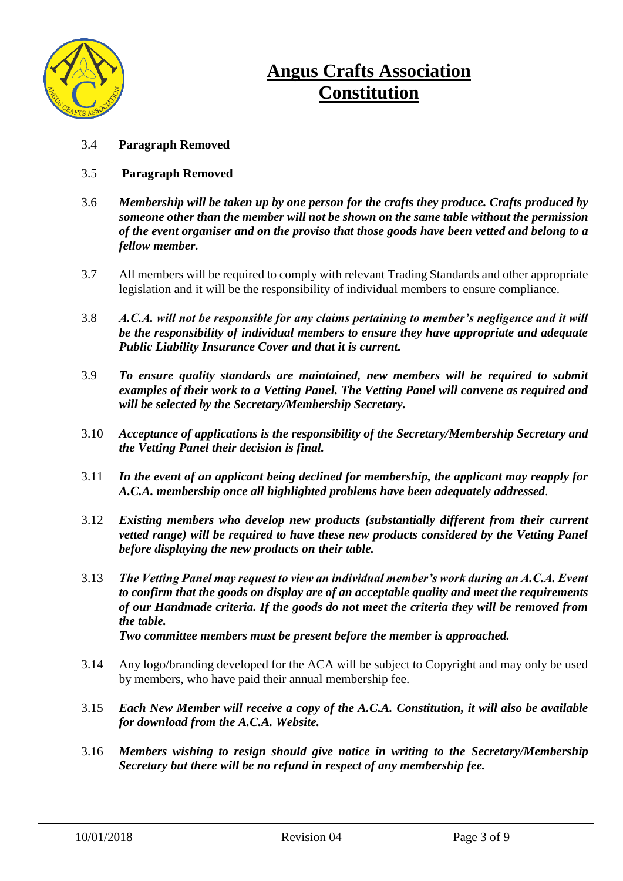

- 3.4 **Paragraph Removed**
- 3.5 **Paragraph Removed**
- 3.6 *Membership will be taken up by one person for the crafts they produce. Crafts produced by someone other than the member will not be shown on the same table without the permission of the event organiser and on the proviso that those goods have been vetted and belong to a fellow member.*
- 3.7 All members will be required to comply with relevant Trading Standards and other appropriate legislation and it will be the responsibility of individual members to ensure compliance.
- 3.8 *A.C.A. will not be responsible for any claims pertaining to member's negligence and it will be the responsibility of individual members to ensure they have appropriate and adequate Public Liability Insurance Cover and that it is current.*
- 3.9 *To ensure quality standards are maintained, new members will be required to submit examples of their work to a Vetting Panel. The Vetting Panel will convene as required and will be selected by the Secretary/Membership Secretary.*
- 3.10 *Acceptance of applications is the responsibility of the Secretary/Membership Secretary and the Vetting Panel their decision is final.*
- 3.11 *In the event of an applicant being declined for membership, the applicant may reapply for A.C.A. membership once all highlighted problems have been adequately addressed*.
- 3.12 *Existing members who develop new products (substantially different from their current vetted range) will be required to have these new products considered by the Vetting Panel before displaying the new products on their table.*
- 3.13 *The Vetting Panel may request to view an individual member's work during an A.C.A. Event to confirm that the goods on display are of an acceptable quality and meet the requirements of our Handmade criteria. If the goods do not meet the criteria they will be removed from the table.*
	- *Two committee members must be present before the member is approached.*
- 3.14 Any logo/branding developed for the ACA will be subject to Copyright and may only be used by members, who have paid their annual membership fee.
- 3.15 *Each New Member will receive a copy of the A.C.A. Constitution, it will also be available for download from the A.C.A. Website.*
- 3.16 *Members wishing to resign should give notice in writing to the Secretary/Membership Secretary but there will be no refund in respect of any membership fee.*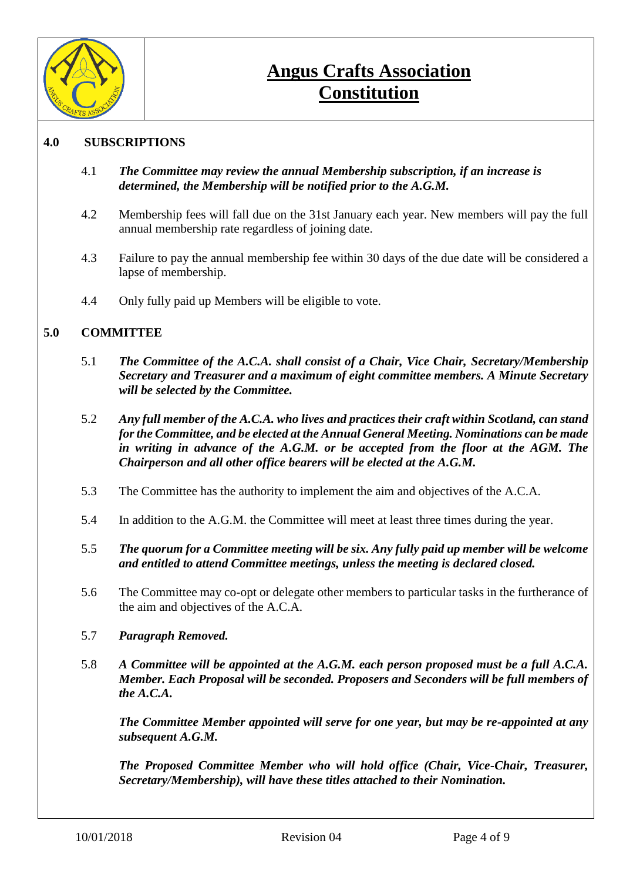

### **4.0 SUBSCRIPTIONS**

- 4.1 *The Committee may review the annual Membership subscription, if an increase is determined, the Membership will be notified prior to the A.G.M.*
- 4.2 Membership fees will fall due on the 31st January each year. New members will pay the full annual membership rate regardless of joining date.
- 4.3 Failure to pay the annual membership fee within 30 days of the due date will be considered a lapse of membership.
- 4.4 Only fully paid up Members will be eligible to vote.

#### **5.0 COMMITTEE**

- 5.1 *The Committee of the A.C.A. shall consist of a Chair, Vice Chair, Secretary/Membership Secretary and Treasurer and a maximum of eight committee members. A Minute Secretary will be selected by the Committee.*
- 5.2 *Any full member of the A.C.A. who lives and practices their craft within Scotland, can stand for the Committee, and be elected at the Annual General Meeting. Nominations can be made in writing in advance of the A.G.M. or be accepted from the floor at the AGM. The Chairperson and all other office bearers will be elected at the A.G.M.*
- 5.3 The Committee has the authority to implement the aim and objectives of the A.C.A.
- 5.4 In addition to the A.G.M. the Committee will meet at least three times during the year.
- 5.5 *The quorum for a Committee meeting will be six. Any fully paid up member will be welcome and entitled to attend Committee meetings, unless the meeting is declared closed.*
- 5.6 The Committee may co-opt or delegate other members to particular tasks in the furtherance of the aim and objectives of the A.C.A.
- 5.7 *Paragraph Removed.*
- 5.8 *A Committee will be appointed at the A.G.M. each person proposed must be a full A.C.A. Member. Each Proposal will be seconded. Proposers and Seconders will be full members of the A.C.A.*

*The Committee Member appointed will serve for one year, but may be re-appointed at any subsequent A.G.M.*

*The Proposed Committee Member who will hold office (Chair, Vice-Chair, Treasurer, Secretary/Membership), will have these titles attached to their Nomination.*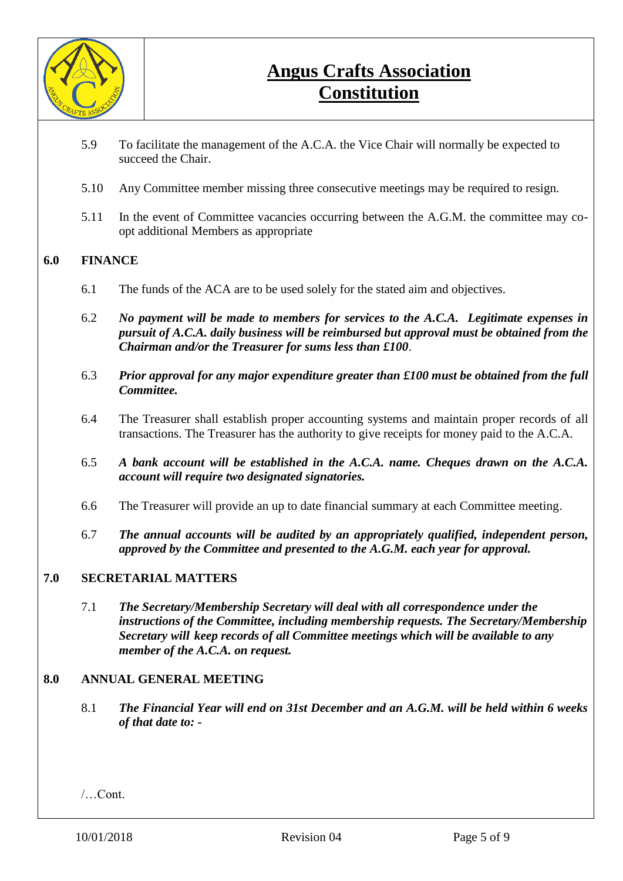

- 5.9 To facilitate the management of the A.C.A. the Vice Chair will normally be expected to succeed the Chair.
- 5.10 Any Committee member missing three consecutive meetings may be required to resign.
- 5.11 In the event of Committee vacancies occurring between the A.G.M. the committee may coopt additional Members as appropriate

#### **6.0 FINANCE**

- 6.1 The funds of the ACA are to be used solely for the stated aim and objectives.
- 6.2 *No payment will be made to members for services to the A.C.A. Legitimate expenses in pursuit of A.C.A. daily business will be reimbursed but approval must be obtained from the Chairman and/or the Treasurer for sums less than £100*.
- 6.3 *Prior approval for any major expenditure greater than £100 must be obtained from the full Committee.*
- 6.4 The Treasurer shall establish proper accounting systems and maintain proper records of all transactions. The Treasurer has the authority to give receipts for money paid to the A.C.A.
- 6.5 *A bank account will be established in the A.C.A. name. Cheques drawn on the A.C.A. account will require two designated signatories.*
- 6.6 The Treasurer will provide an up to date financial summary at each Committee meeting.
- 6.7 *The annual accounts will be audited by an appropriately qualified, independent person, approved by the Committee and presented to the A.G.M. each year for approval.*

#### **7.0 SECRETARIAL MATTERS**

7.1 *The Secretary/Membership Secretary will deal with all correspondence under the instructions of the Committee, including membership requests. The Secretary/Membership Secretary will keep records of all Committee meetings which will be available to any member of the A.C.A. on request.*

#### **8.0 ANNUAL GENERAL MEETING**

8.1 *The Financial Year will end on 31st December and an A.G.M. will be held within 6 weeks of that date to: -*

/…Cont.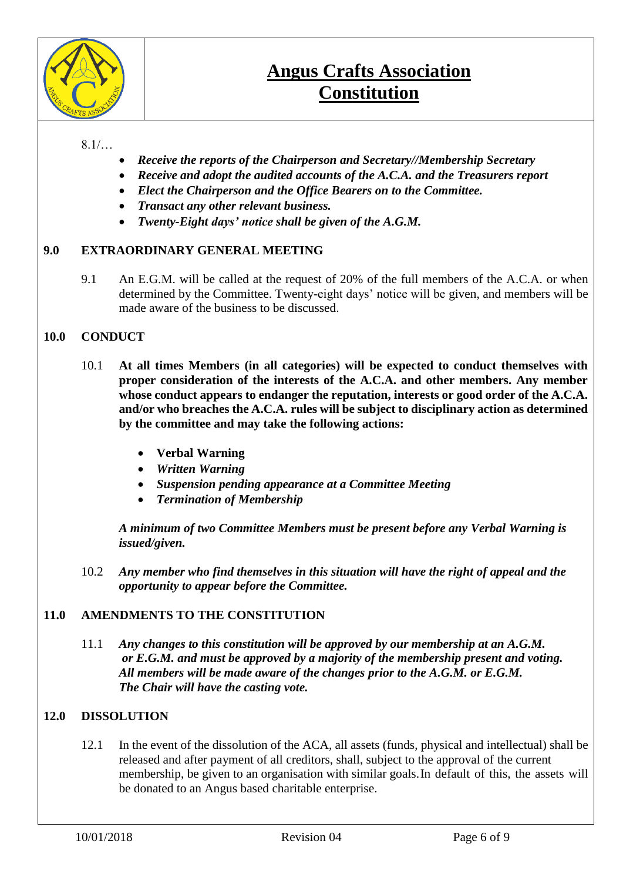

### $8.1/...$

- *Receive the reports of the Chairperson and Secretary//Membership Secretary*
- *Receive and adopt the audited accounts of the A.C.A. and the Treasurers report*
- *Elect the Chairperson and the Office Bearers on to the Committee.*
- *Transact any other relevant business.*
- *Twenty-Eight days' notice shall be given of the A.G.M.*

### **9.0 EXTRAORDINARY GENERAL MEETING**

9.1 An E.G.M. will be called at the request of 20% of the full members of the A.C.A. or when determined by the Committee. Twenty-eight days' notice will be given, and members will be made aware of the business to be discussed.

### **10.0 CONDUCT**

- 10.1 **At all times Members (in all categories) will be expected to conduct themselves with proper consideration of the interests of the A.C.A. and other members. Any member whose conduct appears to endanger the reputation, interests or good order of the A.C.A. and/or who breaches the A.C.A. rules will be subject to disciplinary action as determined by the committee and may take the following actions:** 
	- **Verbal Warning**
	- *Written Warning*
	- *Suspension pending appearance at a Committee Meeting*
	- *Termination of Membership*

*A minimum of two Committee Members must be present before any Verbal Warning is issued/given.*

10.2 *Any member who find themselves in this situation will have the right of appeal and the opportunity to appear before the Committee.*

### **11.0 AMENDMENTS TO THE CONSTITUTION**

11.1 *Any changes to this constitution will be approved by our membership at an A.G.M. or E.G.M. and must be approved by a majority of the membership present and voting. All members will be made aware of the changes prior to the A.G.M. or E.G.M. The Chair will have the casting vote.* 

### **12.0 DISSOLUTION**

12.1 In the event of the dissolution of the ACA, all assets (funds, physical and intellectual) shall be released and after payment of all creditors, shall, subject to the approval of the current membership, be given to an organisation with similar goals.In default of this, the assets will be donated to an Angus based charitable enterprise.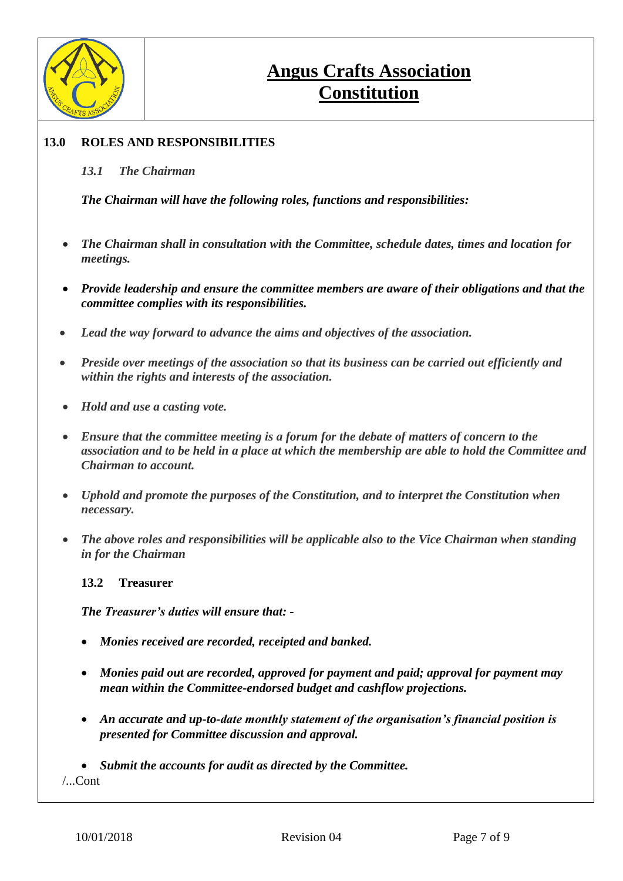

### **13.0 ROLES AND RESPONSIBILITIES**

#### *13.1 The Chairman*

*The Chairman will have the following roles, functions and responsibilities:*

- *The Chairman shall in consultation with the Committee, schedule dates, times and location for meetings.*
- *Provide leadership and ensure the committee members are aware of their obligations and that the committee complies with its responsibilities.*
- *Lead the way forward to advance the aims and objectives of the association.*
- *Preside over meetings of the association so that its business can be carried out efficiently and within the rights and interests of the association.*
- *Hold and use a casting vote.*
- *Ensure that the committee meeting is a forum for the debate of matters of concern to the association and to be held in a place at which the membership are able to hold the Committee and Chairman to account.*
- *Uphold and promote the purposes of the Constitution, and to interpret the Constitution when necessary.*
- *The above roles and responsibilities will be applicable also to the Vice Chairman when standing in for the Chairman*

**13.2 Treasurer**

*The Treasurer's duties will ensure that: -*

- *Monies received are recorded, receipted and banked.*
- *Monies paid out are recorded, approved for payment and paid; approval for payment may mean within the Committee-endorsed budget and cashflow projections.*
- *An accurate and up-to-date monthly statement of the organisation's financial position is presented for Committee discussion and approval.*

• *Submit the accounts for audit as directed by the Committee.*

/...Cont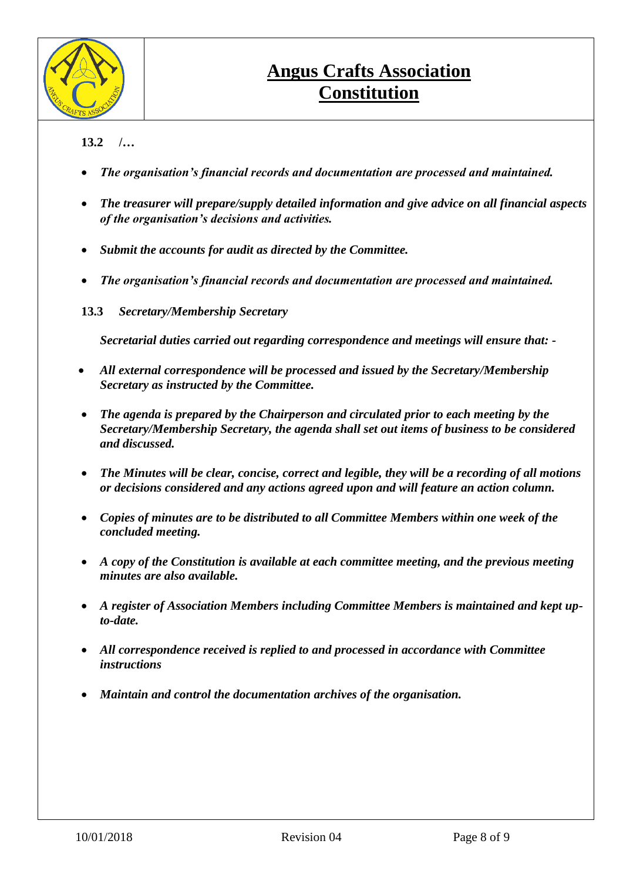

### **13.2 /…**

- *The organisation's financial records and documentation are processed and maintained.*
- *The treasurer will prepare/supply detailed information and give advice on all financial aspects of the organisation's decisions and activities.*
- *Submit the accounts for audit as directed by the Committee.*
- *The organisation's financial records and documentation are processed and maintained.*
- **13.3** *Secretary/Membership Secretary*

*Secretarial duties carried out regarding correspondence and meetings will ensure that: -*

- *All external correspondence will be processed and issued by the Secretary/Membership Secretary as instructed by the Committee.*
- *The agenda is prepared by the Chairperson and circulated prior to each meeting by the Secretary/Membership Secretary, the agenda shall set out items of business to be considered and discussed.*
- *The Minutes will be clear, concise, correct and legible, they will be a recording of all motions or decisions considered and any actions agreed upon and will feature an action column.*
- *Copies of minutes are to be distributed to all Committee Members within one week of the concluded meeting.*
- *A copy of the Constitution is available at each committee meeting, and the previous meeting minutes are also available.*
- *A register of Association Members including Committee Members is maintained and kept upto-date.*
- *All correspondence received is replied to and processed in accordance with Committee instructions*
- *Maintain and control the documentation archives of the organisation.*